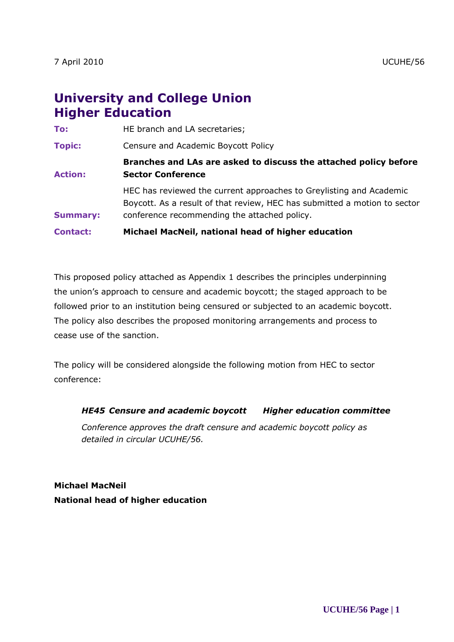# **University and College Union Higher Education**

| <b>Contact:</b> | Michael MacNeil, national head of higher education                                                                                                                                               |
|-----------------|--------------------------------------------------------------------------------------------------------------------------------------------------------------------------------------------------|
| <b>Summary:</b> | HEC has reviewed the current approaches to Greylisting and Academic<br>Boycott. As a result of that review, HEC has submitted a motion to sector<br>conference recommending the attached policy. |
| <b>Action:</b>  | Branches and LAs are asked to discuss the attached policy before<br><b>Sector Conference</b>                                                                                                     |
| <b>Topic:</b>   | Censure and Academic Boycott Policy                                                                                                                                                              |
| To:             | HE branch and LA secretaries;                                                                                                                                                                    |

This proposed policy attached as Appendix 1 describes the principles underpinning the union's approach to censure and academic boycott; the staged approach to be followed prior to an institution being censured or subjected to an academic boycott. The policy also describes the proposed monitoring arrangements and process to cease use of the sanction.

The policy will be considered alongside the following motion from HEC to sector conference:

#### *HE45 Censure and academic boycott Higher education committee*

*Conference approves the draft censure and academic boycott policy as detailed in circular UCUHE/56.*

**Michael MacNeil National head of higher education**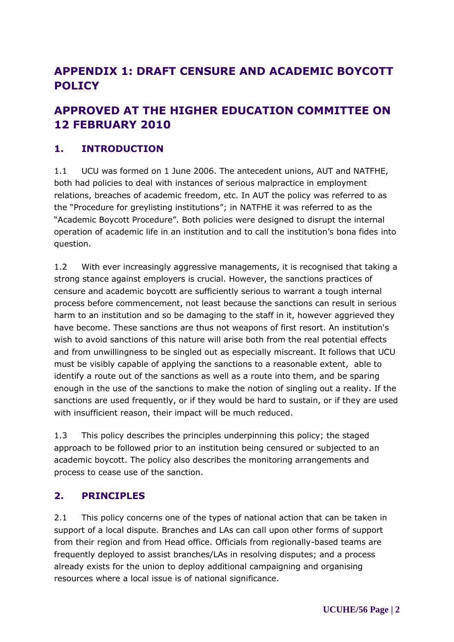## **APPENDIX 1: DRAFT CENSURE AND ACADEMIC BOYCOTT POLICY**

## **APPROVED AT THE HIGHER EDUCATION COMMITTEE ON 12 FEBRUARY 2010**

## **1. INTRODUCTION**

1.1 UCU was formed on 1 June 2006. The antecedent unions, AUT and NATFHE, both had policies to deal with instances of serious malpractice in employment relations, breaches of academic freedom, etc. In AUT the policy was referred to as the "Procedure for greylisting institutions"; in NATFHE it was referred to as the "Academic Boycott Procedure". Both policies were designed to disrupt the internal operation of academic life in an institution and to call the institution's bona fides into question.

1.2 With ever increasingly aggressive managements, it is recognised that taking a strong stance against employers is crucial. However, the sanctions practices of censure and academic boycott are sufficiently serious to warrant a tough internal process before commencement, not least because the sanctions can result in serious harm to an institution and so be damaging to the staff in it, however aggrieved they have become. These sanctions are thus not weapons of first resort. An institution's wish to avoid sanctions of this nature will arise both from the real potential effects and from unwillingness to be singled out as especially miscreant. It follows that UCU must be visibly capable of applying the sanctions to a reasonable extent, able to identify a route out of the sanctions as well as a route into them, and be sparing enough in the use of the sanctions to make the notion of singling out a reality. If the sanctions are used frequently, or if they would be hard to sustain, or if they are used with insufficient reason, their impact will be much reduced.

1.3 This policy describes the principles underpinning this policy; the staged approach to be followed prior to an institution being censured or subjected to an academic boycott. The policy also describes the monitoring arrangements and process to cease use of the sanction.

### **2. PRINCIPLES**

2.1 This policy concerns one of the types of national action that can be taken in support of a local dispute. Branches and LAs can call upon other forms of support from their region and from Head office. Officials from regionally-based teams are frequently deployed to assist branches/LAs in resolving disputes; and a process already exists for the union to deploy additional campaigning and organising resources where a local issue is of national significance.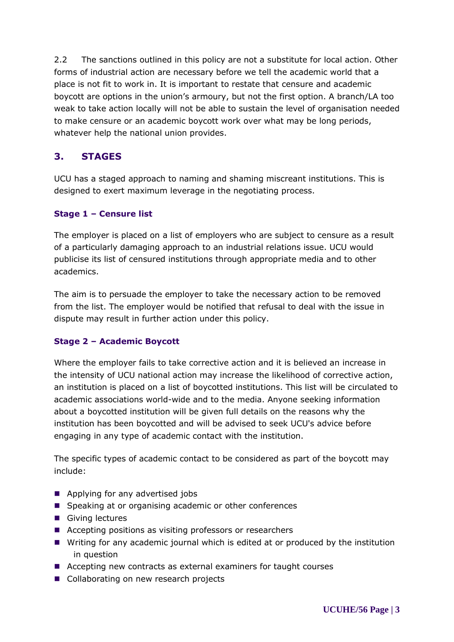2.2 The sanctions outlined in this policy are not a substitute for local action. Other forms of industrial action are necessary before we tell the academic world that a place is not fit to work in. It is important to restate that censure and academic boycott are options in the union's armoury, but not the first option. A branch/LA too weak to take action locally will not be able to sustain the level of organisation needed to make censure or an academic boycott work over what may be long periods, whatever help the national union provides.

## **3. STAGES**

UCU has a staged approach to naming and shaming miscreant institutions. This is designed to exert maximum leverage in the negotiating process.

### **Stage 1 – Censure list**

The employer is placed on a list of employers who are subject to censure as a result of a particularly damaging approach to an industrial relations issue. UCU would publicise its list of censured institutions through appropriate media and to other academics.

The aim is to persuade the employer to take the necessary action to be removed from the list. The employer would be notified that refusal to deal with the issue in dispute may result in further action under this policy.

### **Stage 2 – Academic Boycott**

Where the employer fails to take corrective action and it is believed an increase in the intensity of UCU national action may increase the likelihood of corrective action, an institution is placed on a list of boycotted institutions. This list will be circulated to academic associations world-wide and to the media. Anyone seeking information about a boycotted institution will be given full details on the reasons why the institution has been boycotted and will be advised to seek UCU's advice before engaging in any type of academic contact with the institution.

The specific types of academic contact to be considered as part of the boycott may include:

- Applying for any advertised jobs
- Speaking at or organising academic or other conferences
- Giving lectures
- Accepting positions as visiting professors or researchers
- Writing for any academic journal which is edited at or produced by the institution in question
- Accepting new contracts as external examiners for taught courses
- Collaborating on new research projects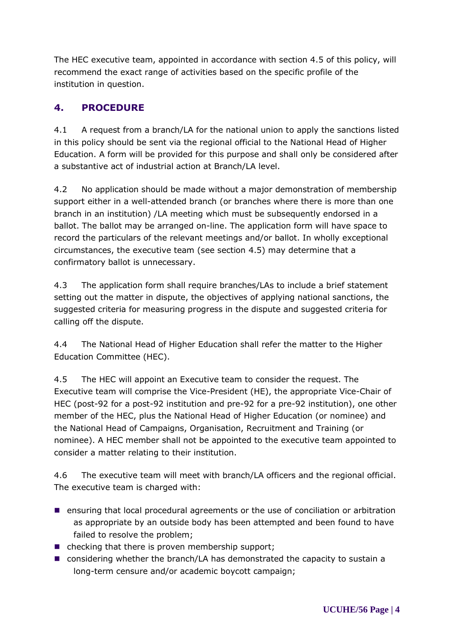The HEC executive team, appointed in accordance with section 4.5 of this policy, will recommend the exact range of activities based on the specific profile of the institution in question.

## **4. PROCEDURE**

4.1 A request from a branch/LA for the national union to apply the sanctions listed in this policy should be sent via the regional official to the National Head of Higher Education. A form will be provided for this purpose and shall only be considered after a substantive act of industrial action at Branch/LA level.

4.2 No application should be made without a major demonstration of membership support either in a well-attended branch (or branches where there is more than one branch in an institution) /LA meeting which must be subsequently endorsed in a ballot. The ballot may be arranged on-line. The application form will have space to record the particulars of the relevant meetings and/or ballot. In wholly exceptional circumstances, the executive team (see section 4.5) may determine that a confirmatory ballot is unnecessary.

4.3 The application form shall require branches/LAs to include a brief statement setting out the matter in dispute, the objectives of applying national sanctions, the suggested criteria for measuring progress in the dispute and suggested criteria for calling off the dispute.

4.4 The National Head of Higher Education shall refer the matter to the Higher Education Committee (HEC).

4.5 The HEC will appoint an Executive team to consider the request. The Executive team will comprise the Vice-President (HE), the appropriate Vice-Chair of HEC (post-92 for a post-92 institution and pre-92 for a pre-92 institution), one other member of the HEC, plus the National Head of Higher Education (or nominee) and the National Head of Campaigns, Organisation, Recruitment and Training (or nominee). A HEC member shall not be appointed to the executive team appointed to consider a matter relating to their institution.

4.6 The executive team will meet with branch/LA officers and the regional official. The executive team is charged with:

- **E** ensuring that local procedural agreements or the use of conciliation or arbitration as appropriate by an outside body has been attempted and been found to have failed to resolve the problem;
- $\blacksquare$  checking that there is proven membership support;
- considering whether the branch/LA has demonstrated the capacity to sustain a long-term censure and/or academic boycott campaign;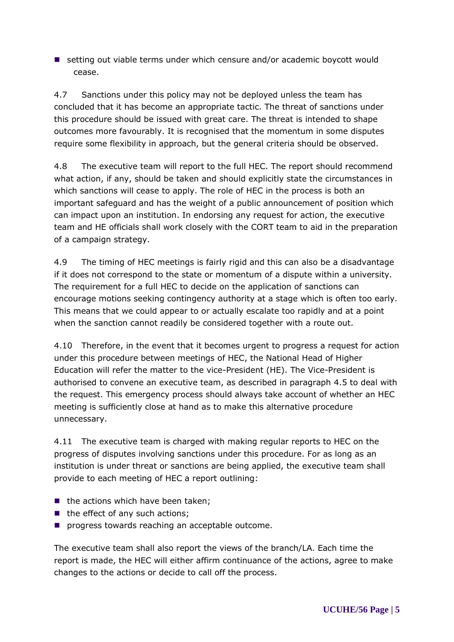■ setting out viable terms under which censure and/or academic boycott would cease.

4.7 Sanctions under this policy may not be deployed unless the team has concluded that it has become an appropriate tactic. The threat of sanctions under this procedure should be issued with great care. The threat is intended to shape outcomes more favourably. It is recognised that the momentum in some disputes require some flexibility in approach, but the general criteria should be observed.

4.8 The executive team will report to the full HEC. The report should recommend what action, if any, should be taken and should explicitly state the circumstances in which sanctions will cease to apply. The role of HEC in the process is both an important safeguard and has the weight of a public announcement of position which can impact upon an institution. In endorsing any request for action, the executive team and HE officials shall work closely with the CORT team to aid in the preparation of a campaign strategy.

4.9 The timing of HEC meetings is fairly rigid and this can also be a disadvantage if it does not correspond to the state or momentum of a dispute within a university. The requirement for a full HEC to decide on the application of sanctions can encourage motions seeking contingency authority at a stage which is often too early. This means that we could appear to or actually escalate too rapidly and at a point when the sanction cannot readily be considered together with a route out.

4.10 Therefore, in the event that it becomes urgent to progress a request for action under this procedure between meetings of HEC, the National Head of Higher Education will refer the matter to the vice-President (HE). The Vice-President is authorised to convene an executive team, as described in paragraph 4.5 to deal with the request. This emergency process should always take account of whether an HEC meeting is sufficiently close at hand as to make this alternative procedure unnecessary.

4.11 The executive team is charged with making regular reports to HEC on the progress of disputes involving sanctions under this procedure. For as long as an institution is under threat or sanctions are being applied, the executive team shall provide to each meeting of HEC a report outlining:

- $\blacksquare$  the actions which have been taken;
- $\blacksquare$  the effect of any such actions;
- **P** progress towards reaching an acceptable outcome.

The executive team shall also report the views of the branch/LA. Each time the report is made, the HEC will either affirm continuance of the actions, agree to make changes to the actions or decide to call off the process.